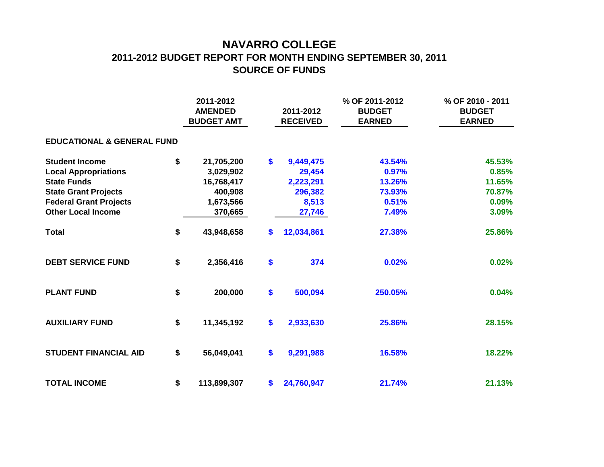## **NAVARRO COLLEGE 2011-2012 BUDGET REPORT FOR MONTH ENDING SEPTEMBER 30, 2011 SOURCE OF FUNDS**

|                                       |    | 2011-2012<br><b>AMENDED</b><br><b>BUDGET AMT</b> |    | 2011-2012<br><b>RECEIVED</b> | % OF 2011-2012<br><b>BUDGET</b><br><b>EARNED</b> | % OF 2010 - 2011<br><b>BUDGET</b><br><b>EARNED</b> |  |  |  |  |  |  |  |  |
|---------------------------------------|----|--------------------------------------------------|----|------------------------------|--------------------------------------------------|----------------------------------------------------|--|--|--|--|--|--|--|--|
| <b>EDUCATIONAL &amp; GENERAL FUND</b> |    |                                                  |    |                              |                                                  |                                                    |  |  |  |  |  |  |  |  |
| <b>Student Income</b>                 | \$ | 21,705,200                                       | \$ | 9,449,475                    | 43.54%                                           | 45.53%                                             |  |  |  |  |  |  |  |  |
| <b>Local Appropriations</b>           |    | 3,029,902                                        |    | 29,454                       | 0.97%                                            | 0.85%                                              |  |  |  |  |  |  |  |  |
| <b>State Funds</b>                    |    | 16,768,417                                       |    | 2,223,291                    | 13.26%                                           | 11.65%                                             |  |  |  |  |  |  |  |  |
| <b>State Grant Projects</b>           |    | 400,908                                          |    | 296,382                      | 73.93%                                           | 70.87%                                             |  |  |  |  |  |  |  |  |
| <b>Federal Grant Projects</b>         |    | 1,673,566                                        |    | 8,513                        | 0.51%                                            | 0.09%                                              |  |  |  |  |  |  |  |  |
| <b>Other Local Income</b>             |    | 370,665                                          |    | 27,746                       | 7.49%                                            | 3.09%                                              |  |  |  |  |  |  |  |  |
| <b>Total</b>                          | \$ | 43,948,658                                       | \$ | 12,034,861                   | 27.38%                                           | 25.86%                                             |  |  |  |  |  |  |  |  |
| <b>DEBT SERVICE FUND</b>              | \$ | 2,356,416                                        | \$ | 374                          | 0.02%                                            | 0.02%                                              |  |  |  |  |  |  |  |  |
| <b>PLANT FUND</b>                     | \$ | 200,000                                          | \$ | 500,094                      | 250.05%                                          | 0.04%                                              |  |  |  |  |  |  |  |  |
| <b>AUXILIARY FUND</b>                 | \$ | 11,345,192                                       | \$ | 2,933,630                    | 25.86%                                           | 28.15%                                             |  |  |  |  |  |  |  |  |
| <b>STUDENT FINANCIAL AID</b>          | \$ | 56,049,041                                       | \$ | 9,291,988                    | 16.58%                                           | 18.22%                                             |  |  |  |  |  |  |  |  |
| <b>TOTAL INCOME</b>                   | \$ | 113,899,307                                      | \$ | 24,760,947                   | 21.74%                                           | 21.13%                                             |  |  |  |  |  |  |  |  |